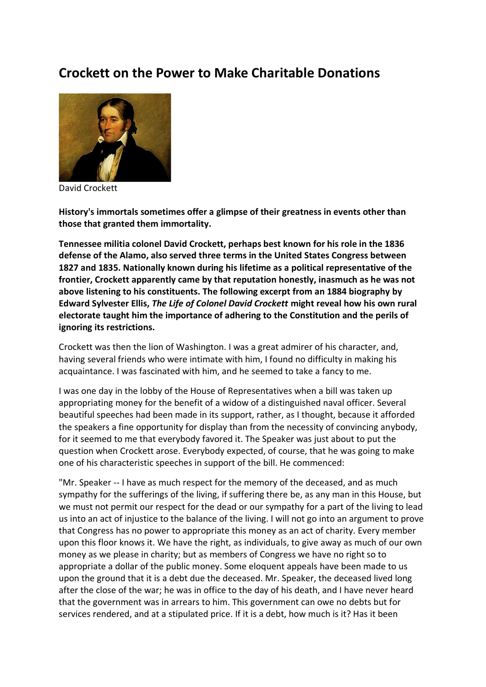## **Crockett on the Power to Make Charitable Donations**



David Crockett

**History's immortals sometimes offer a glimpse of their greatness in events other than those that granted them immortality.**

**Tennessee militia colonel David Crockett, perhaps best known for his role in the 1836 defense of the Alamo, also served three terms in the United States Congress between 1827 and 1835. Nationally known during his lifetime as a political representative of the frontier, Crockett apparently came by that reputation honestly, inasmuch as he was not above listening to his constituents. The following excerpt from an 1884 biography by Edward Sylvester Ellis,** *The Life of Colonel David Crockett* **might reveal how his own rural electorate taught him the importance of adhering to the Constitution and the perils of ignoring its restrictions.**

Crockett was then the lion of Washington. I was a great admirer of his character, and, having several friends who were intimate with him, I found no difficulty in making his acquaintance. I was fascinated with him, and he seemed to take a fancy to me.

I was one day in the lobby of the House of Representatives when a bill was taken up appropriating money for the benefit of a widow of a distinguished naval officer. Several beautiful speeches had been made in its support, rather, as I thought, because it afforded the speakers a fine opportunity for display than from the necessity of convincing anybody, for it seemed to me that everybody favored it. The Speaker was just about to put the question when Crockett arose. Everybody expected, of course, that he was going to make one of his characteristic speeches in support of the bill. He commenced:

"Mr. Speaker -- I have as much respect for the memory of the deceased, and as much sympathy for the sufferings of the living, if suffering there be, as any man in this House, but we must not permit our respect for the dead or our sympathy for a part of the living to lead us into an act of injustice to the balance of the living. I will not go into an argument to prove that Congress has no power to appropriate this money as an act of charity. Every member upon this floor knows it. We have the right, as individuals, to give away as much of our own money as we please in charity; but as members of Congress we have no right so to appropriate a dollar of the public money. Some eloquent appeals have been made to us upon the ground that it is a debt due the deceased. Mr. Speaker, the deceased lived long after the close of the war; he was in office to the day of his death, and I have never heard that the government was in arrears to him. This government can owe no debts but for services rendered, and at a stipulated price. If it is a debt, how much is it? Has it been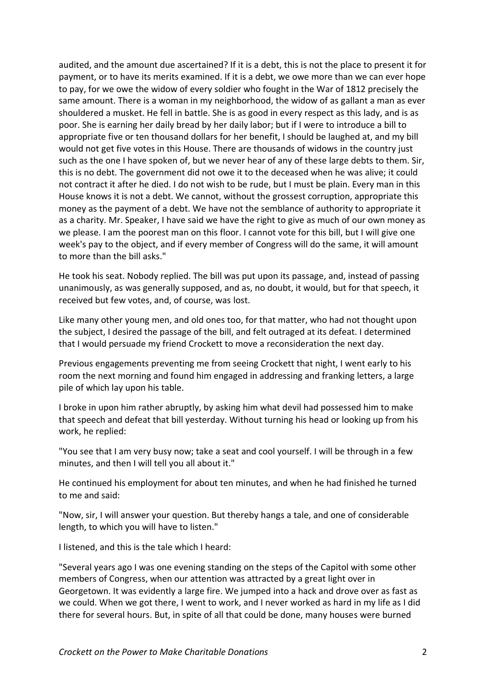audited, and the amount due ascertained? If it is a debt, this is not the place to present it for payment, or to have its merits examined. If it is a debt, we owe more than we can ever hope to pay, for we owe the widow of every soldier who fought in the War of 1812 precisely the same amount. There is a woman in my neighborhood, the widow of as gallant a man as ever shouldered a musket. He fell in battle. She is as good in every respect as this lady, and is as poor. She is earning her daily bread by her daily labor; but if I were to introduce a bill to appropriate five or ten thousand dollars for her benefit, I should be laughed at, and my bill would not get five votes in this House. There are thousands of widows in the country just such as the one I have spoken of, but we never hear of any of these large debts to them. Sir, this is no debt. The government did not owe it to the deceased when he was alive; it could not contract it after he died. I do not wish to be rude, but I must be plain. Every man in this House knows it is not a debt. We cannot, without the grossest corruption, appropriate this money as the payment of a debt. We have not the semblance of authority to appropriate it as a charity. Mr. Speaker, I have said we have the right to give as much of our own money as we please. I am the poorest man on this floor. I cannot vote for this bill, but I will give one week's pay to the object, and if every member of Congress will do the same, it will amount to more than the bill asks."

He took his seat. Nobody replied. The bill was put upon its passage, and, instead of passing unanimously, as was generally supposed, and as, no doubt, it would, but for that speech, it received but few votes, and, of course, was lost.

Like many other young men, and old ones too, for that matter, who had not thought upon the subject, I desired the passage of the bill, and felt outraged at its defeat. I determined that I would persuade my friend Crockett to move a reconsideration the next day.

Previous engagements preventing me from seeing Crockett that night, I went early to his room the next morning and found him engaged in addressing and franking letters, a large pile of which lay upon his table.

I broke in upon him rather abruptly, by asking him what devil had possessed him to make that speech and defeat that bill yesterday. Without turning his head or looking up from his work, he replied:

"You see that I am very busy now; take a seat and cool yourself. I will be through in a few minutes, and then I will tell you all about it."

He continued his employment for about ten minutes, and when he had finished he turned to me and said:

"Now, sir, I will answer your question. But thereby hangs a tale, and one of considerable length, to which you will have to listen."

I listened, and this is the tale which I heard:

"Several years ago I was one evening standing on the steps of the Capitol with some other members of Congress, when our attention was attracted by a great light over in Georgetown. It was evidently a large fire. We jumped into a hack and drove over as fast as we could. When we got there, I went to work, and I never worked as hard in my life as I did there for several hours. But, in spite of all that could be done, many houses were burned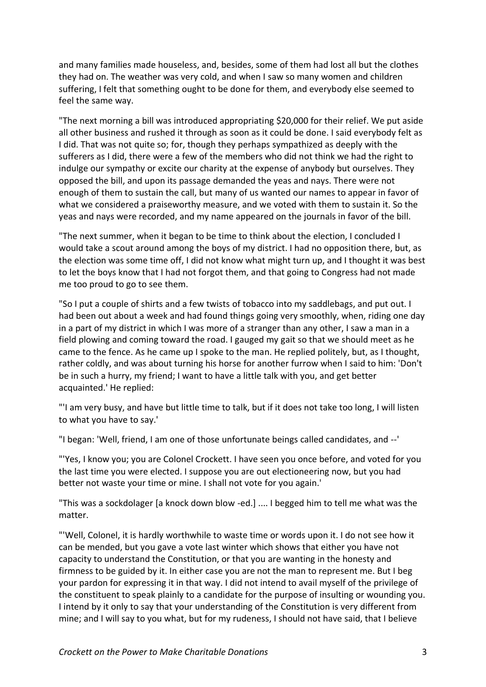and many families made houseless, and, besides, some of them had lost all but the clothes they had on. The weather was very cold, and when I saw so many women and children suffering, I felt that something ought to be done for them, and everybody else seemed to feel the same way.

"The next morning a bill was introduced appropriating \$20,000 for their relief. We put aside all other business and rushed it through as soon as it could be done. I said everybody felt as I did. That was not quite so; for, though they perhaps sympathized as deeply with the sufferers as I did, there were a few of the members who did not think we had the right to indulge our sympathy or excite our charity at the expense of anybody but ourselves. They opposed the bill, and upon its passage demanded the yeas and nays. There were not enough of them to sustain the call, but many of us wanted our names to appear in favor of what we considered a praiseworthy measure, and we voted with them to sustain it. So the yeas and nays were recorded, and my name appeared on the journals in favor of the bill.

"The next summer, when it began to be time to think about the election, I concluded I would take a scout around among the boys of my district. I had no opposition there, but, as the election was some time off, I did not know what might turn up, and I thought it was best to let the boys know that I had not forgot them, and that going to Congress had not made me too proud to go to see them.

"So I put a couple of shirts and a few twists of tobacco into my saddlebags, and put out. I had been out about a week and had found things going very smoothly, when, riding one day in a part of my district in which I was more of a stranger than any other, I saw a man in a field plowing and coming toward the road. I gauged my gait so that we should meet as he came to the fence. As he came up I spoke to the man. He replied politely, but, as I thought, rather coldly, and was about turning his horse for another furrow when I said to him: 'Don't be in such a hurry, my friend; I want to have a little talk with you, and get better acquainted.' He replied:

"'I am very busy, and have but little time to talk, but if it does not take too long, I will listen to what you have to say.'

"I began: 'Well, friend, I am one of those unfortunate beings called candidates, and --'

"'Yes, I know you; you are Colonel Crockett. I have seen you once before, and voted for you the last time you were elected. I suppose you are out electioneering now, but you had better not waste your time or mine. I shall not vote for you again.'

"This was a sockdolager [a knock down blow -ed.] .... I begged him to tell me what was the matter.

"'Well, Colonel, it is hardly worthwhile to waste time or words upon it. I do not see how it can be mended, but you gave a vote last winter which shows that either you have not capacity to understand the Constitution, or that you are wanting in the honesty and firmness to be guided by it. In either case you are not the man to represent me. But I beg your pardon for expressing it in that way. I did not intend to avail myself of the privilege of the constituent to speak plainly to a candidate for the purpose of insulting or wounding you. I intend by it only to say that your understanding of the Constitution is very different from mine; and I will say to you what, but for my rudeness, I should not have said, that I believe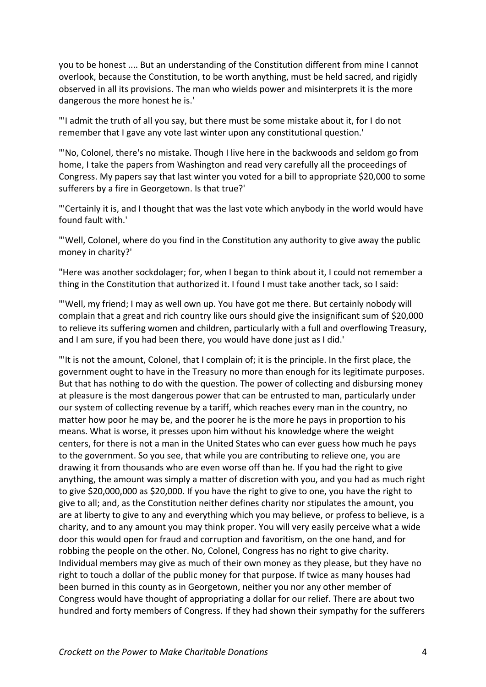you to be honest .... But an understanding of the Constitution different from mine I cannot overlook, because the Constitution, to be worth anything, must be held sacred, and rigidly observed in all its provisions. The man who wields power and misinterprets it is the more dangerous the more honest he is.'

"'I admit the truth of all you say, but there must be some mistake about it, for I do not remember that I gave any vote last winter upon any constitutional question.'

"'No, Colonel, there's no mistake. Though I live here in the backwoods and seldom go from home, I take the papers from Washington and read very carefully all the proceedings of Congress. My papers say that last winter you voted for a bill to appropriate \$20,000 to some sufferers by a fire in Georgetown. Is that true?'

"'Certainly it is, and I thought that was the last vote which anybody in the world would have found fault with.'

"'Well, Colonel, where do you find in the Constitution any authority to give away the public money in charity?'

"Here was another sockdolager; for, when I began to think about it, I could not remember a thing in the Constitution that authorized it. I found I must take another tack, so I said:

"'Well, my friend; I may as well own up. You have got me there. But certainly nobody will complain that a great and rich country like ours should give the insignificant sum of \$20,000 to relieve its suffering women and children, particularly with a full and overflowing Treasury, and I am sure, if you had been there, you would have done just as I did.'

"'It is not the amount, Colonel, that I complain of; it is the principle. In the first place, the government ought to have in the Treasury no more than enough for its legitimate purposes. But that has nothing to do with the question. The power of collecting and disbursing money at pleasure is the most dangerous power that can be entrusted to man, particularly under our system of collecting revenue by a tariff, which reaches every man in the country, no matter how poor he may be, and the poorer he is the more he pays in proportion to his means. What is worse, it presses upon him without his knowledge where the weight centers, for there is not a man in the United States who can ever guess how much he pays to the government. So you see, that while you are contributing to relieve one, you are drawing it from thousands who are even worse off than he. If you had the right to give anything, the amount was simply a matter of discretion with you, and you had as much right to give \$20,000,000 as \$20,000. If you have the right to give to one, you have the right to give to all; and, as the Constitution neither defines charity nor stipulates the amount, you are at liberty to give to any and everything which you may believe, or profess to believe, is a charity, and to any amount you may think proper. You will very easily perceive what a wide door this would open for fraud and corruption and favoritism, on the one hand, and for robbing the people on the other. No, Colonel, Congress has no right to give charity. Individual members may give as much of their own money as they please, but they have no right to touch a dollar of the public money for that purpose. If twice as many houses had been burned in this county as in Georgetown, neither you nor any other member of Congress would have thought of appropriating a dollar for our relief. There are about two hundred and forty members of Congress. If they had shown their sympathy for the sufferers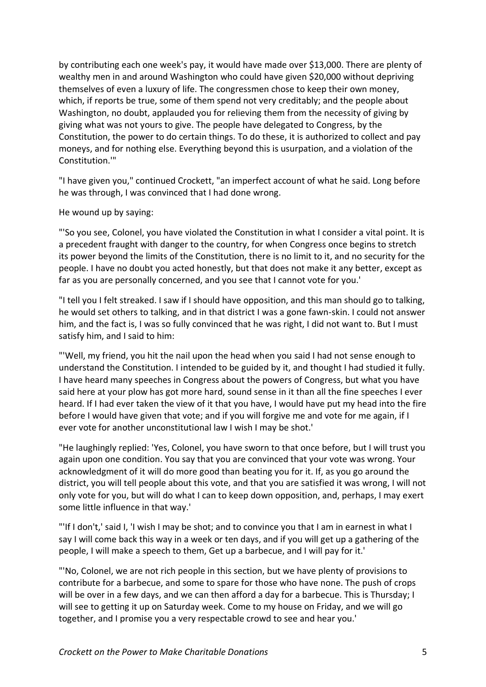by contributing each one week's pay, it would have made over \$13,000. There are plenty of wealthy men in and around Washington who could have given \$20,000 without depriving themselves of even a luxury of life. The congressmen chose to keep their own money, which, if reports be true, some of them spend not very creditably; and the people about Washington, no doubt, applauded you for relieving them from the necessity of giving by giving what was not yours to give. The people have delegated to Congress, by the Constitution, the power to do certain things. To do these, it is authorized to collect and pay moneys, and for nothing else. Everything beyond this is usurpation, and a violation of the Constitution.'"

"I have given you," continued Crockett, "an imperfect account of what he said. Long before he was through, I was convinced that I had done wrong.

He wound up by saying:

"'So you see, Colonel, you have violated the Constitution in what I consider a vital point. It is a precedent fraught with danger to the country, for when Congress once begins to stretch its power beyond the limits of the Constitution, there is no limit to it, and no security for the people. I have no doubt you acted honestly, but that does not make it any better, except as far as you are personally concerned, and you see that I cannot vote for you.'

"I tell you I felt streaked. I saw if I should have opposition, and this man should go to talking, he would set others to talking, and in that district I was a gone fawn-skin. I could not answer him, and the fact is, I was so fully convinced that he was right, I did not want to. But I must satisfy him, and I said to him:

"'Well, my friend, you hit the nail upon the head when you said I had not sense enough to understand the Constitution. I intended to be guided by it, and thought I had studied it fully. I have heard many speeches in Congress about the powers of Congress, but what you have said here at your plow has got more hard, sound sense in it than all the fine speeches I ever heard. If I had ever taken the view of it that you have, I would have put my head into the fire before I would have given that vote; and if you will forgive me and vote for me again, if I ever vote for another unconstitutional law I wish I may be shot.'

"He laughingly replied: 'Yes, Colonel, you have sworn to that once before, but I will trust you again upon one condition. You say that you are convinced that your vote was wrong. Your acknowledgment of it will do more good than beating you for it. If, as you go around the district, you will tell people about this vote, and that you are satisfied it was wrong, I will not only vote for you, but will do what I can to keep down opposition, and, perhaps, I may exert some little influence in that way.'

"'If I don't,' said I, 'I wish I may be shot; and to convince you that I am in earnest in what I say I will come back this way in a week or ten days, and if you will get up a gathering of the people, I will make a speech to them, Get up a barbecue, and I will pay for it.'

"'No, Colonel, we are not rich people in this section, but we have plenty of provisions to contribute for a barbecue, and some to spare for those who have none. The push of crops will be over in a few days, and we can then afford a day for a barbecue. This is Thursday; I will see to getting it up on Saturday week. Come to my house on Friday, and we will go together, and I promise you a very respectable crowd to see and hear you.'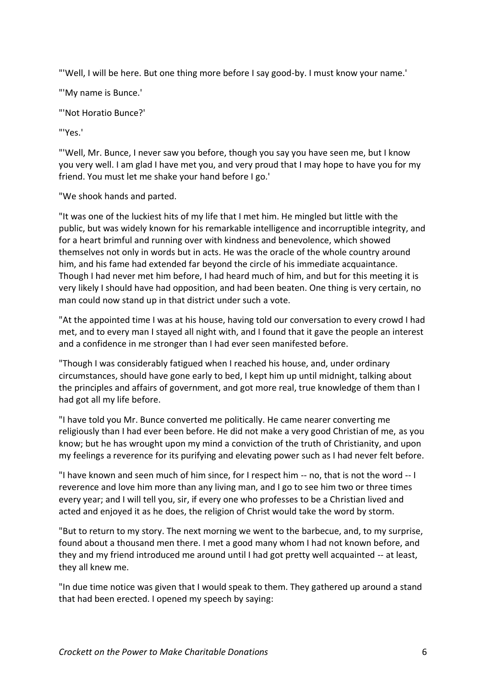"'Well, I will be here. But one thing more before I say good-by. I must know your name.'

"'My name is Bunce.'

"'Not Horatio Bunce?'

"'Yes.'

"'Well, Mr. Bunce, I never saw you before, though you say you have seen me, but I know you very well. I am glad I have met you, and very proud that I may hope to have you for my friend. You must let me shake your hand before I go.'

"We shook hands and parted.

"It was one of the luckiest hits of my life that I met him. He mingled but little with the public, but was widely known for his remarkable intelligence and incorruptible integrity, and for a heart brimful and running over with kindness and benevolence, which showed themselves not only in words but in acts. He was the oracle of the whole country around him, and his fame had extended far beyond the circle of his immediate acquaintance. Though I had never met him before, I had heard much of him, and but for this meeting it is very likely I should have had opposition, and had been beaten. One thing is very certain, no man could now stand up in that district under such a vote.

"At the appointed time I was at his house, having told our conversation to every crowd I had met, and to every man I stayed all night with, and I found that it gave the people an interest and a confidence in me stronger than I had ever seen manifested before.

"Though I was considerably fatigued when I reached his house, and, under ordinary circumstances, should have gone early to bed, I kept him up until midnight, talking about the principles and affairs of government, and got more real, true knowledge of them than I had got all my life before.

"I have told you Mr. Bunce converted me politically. He came nearer converting me religiously than I had ever been before. He did not make a very good Christian of me, as you know; but he has wrought upon my mind a conviction of the truth of Christianity, and upon my feelings a reverence for its purifying and elevating power such as I had never felt before.

"I have known and seen much of him since, for I respect him -- no, that is not the word -- I reverence and love him more than any living man, and I go to see him two or three times every year; and I will tell you, sir, if every one who professes to be a Christian lived and acted and enjoyed it as he does, the religion of Christ would take the word by storm.

"But to return to my story. The next morning we went to the barbecue, and, to my surprise, found about a thousand men there. I met a good many whom I had not known before, and they and my friend introduced me around until I had got pretty well acquainted -- at least, they all knew me.

"In due time notice was given that I would speak to them. They gathered up around a stand that had been erected. I opened my speech by saying: